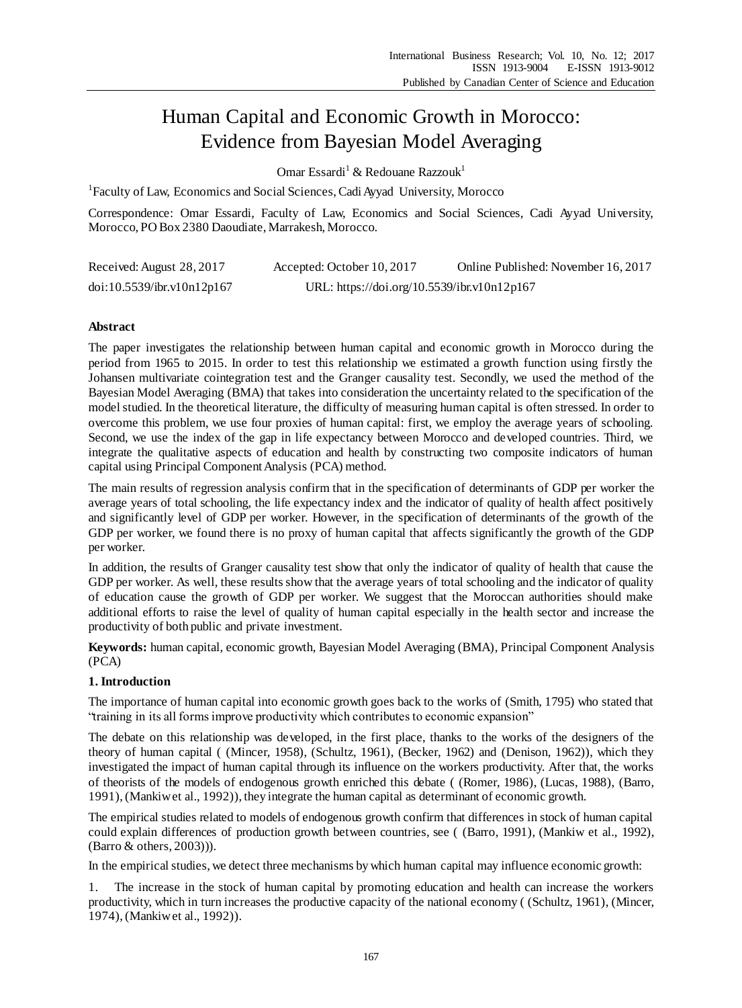# Human Capital and Economic Growth in Morocco: Evidence from Bayesian Model Averaging

Omar Essardi<sup>1</sup> & Redouane Razzouk<sup>1</sup>

<sup>1</sup>Faculty of Law, Economics and Social Sciences, Cadi Ayyad University, Morocco

Correspondence: Omar Essardi, Faculty of Law, Economics and Social Sciences, Cadi Ayyad University, Morocco, PO Box 2380 Daoudiate, Marrakesh, Morocco.

| Received: August 28, 2017  | Accepted: October 10, 2017                  | Online Published: November 16, 2017 |
|----------------------------|---------------------------------------------|-------------------------------------|
| doi:10.5539/ibr.v10n12p167 | URL: https://doi.org/10.5539/ibr.v10n12p167 |                                     |

# **Abstract**

The paper investigates the relationship between human capital and economic growth in Morocco during the period from 1965 to 2015. In order to test this relationship we estimated a growth function using firstly the Johansen multivariate cointegration test and the Granger causality test. Secondly, we used the method of the Bayesian Model Averaging (BMA) that takes into consideration the uncertainty related to the specification of the model studied. In the theoretical literature, the difficulty of measuring human capital is often stressed. In order to overcome this problem, we use four proxies of human capital: first, we employ the average years of schooling. Second, we use the index of the gap in life expectancy between Morocco and developed countries. Third, we integrate the qualitative aspects of education and health by constructing two composite indicators of human capital using Principal Component Analysis (PCA) method.

The main results of regression analysis confirm that in the specification of determinants of GDP per worker the average years of total schooling, the life expectancy index and the indicator of quality of health affect positively and significantly level of GDP per worker. However, in the specification of determinants of the growth of the GDP per worker, we found there is no proxy of human capital that affects significantly the growth of the GDP per worker.

In addition, the results of Granger causality test show that only the indicator of quality of health that cause the GDP per worker. As well, these results show that the average years of total schooling and the indicator of quality of education cause the growth of GDP per worker. We suggest that the Moroccan authorities should make additional efforts to raise the level of quality of human capital especially in the health sector and increase the productivity of both public and private investment.

**Keywords:** human capital, economic growth, Bayesian Model Averaging (BMA), Principal Component Analysis (PCA)

# **1. Introduction**

The importance of human capital into economic growth goes back to the works of (Smith, 1795) who stated that "training in its all forms improve productivity which contributes to economic expansion"

The debate on this relationship was developed, in the first place, thanks to the works of the designers of the theory of human capital ( (Mincer, 1958), (Schultz, 1961), (Becker, 1962) and (Denison, 1962)), which they investigated the impact of human capital through its influence on the workers productivity. After that, the works of theorists of the models of endogenous growth enriched this debate ( (Romer, 1986), (Lucas, 1988), (Barro, 1991),(Mankiw et al., 1992)), they integrate the human capital as determinant of economic growth.

The empirical studies related to models of endogenous growth confirm that differences in stock of human capital could explain differences of production growth between countries, see ( (Barro, 1991), (Mankiw et al., 1992), (Barro & others, 2003))).

In the empirical studies, we detect three mechanisms by which human capital may influence economic growth:

1. The increase in the stock of human capital by promoting education and health can increase the workers productivity, which in turn increases the productive capacity of the national economy ( (Schultz, 1961), (Mincer, 1974), (Mankiw et al., 1992)).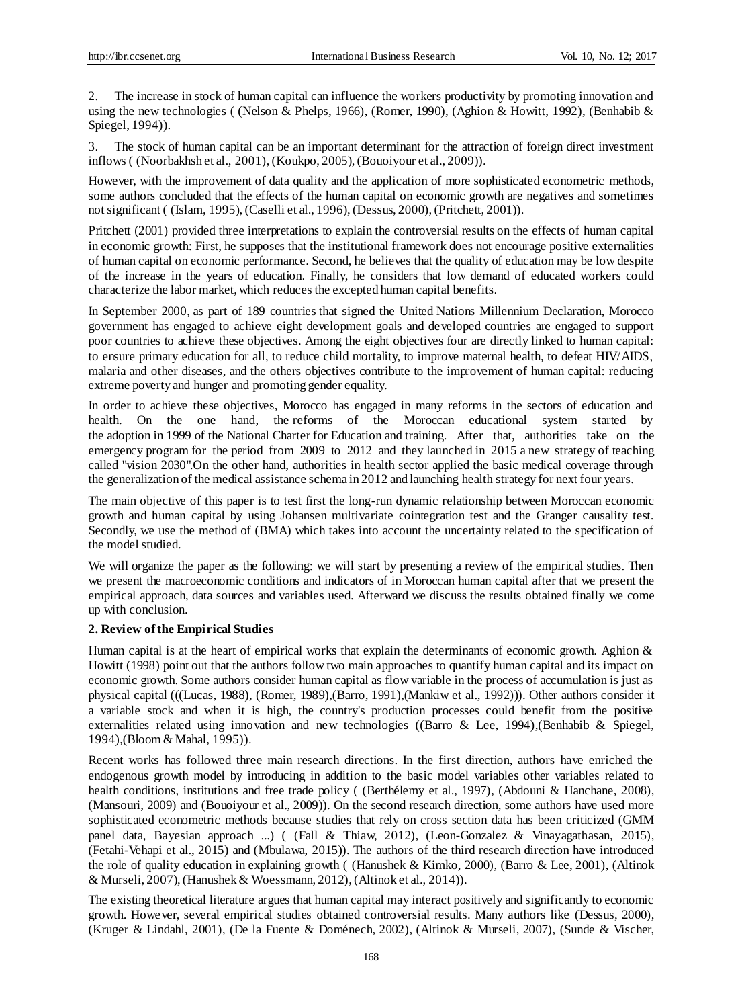2. The increase in stock of human capital can influence the workers productivity by promoting innovation and using the new technologies ( (Nelson & Phelps, 1966), (Romer, 1990), (Aghion & Howitt, 1992), (Benhabib & Spiegel, 1994)).

3. The stock of human capital can be an important determinant for the attraction of foreign direct investment inflows ( (Noorbakhsh et al., 2001), (Koukpo, 2005), (Bouoiyour et al., 2009)).

However, with the improvement of data quality and the application of more sophisticated econometric methods, some authors concluded that the effects of the human capital on economic growth are negatives and sometimes not significant ( (Islam, 1995), (Caselli et al., 1996), (Dessus, 2000), (Pritchett, 2001)).

Pritchett (2001) provided three interpretations to explain the controversial results on the effects of human capital in economic growth: First, he supposes that the institutional framework does not encourage positive externalities of human capital on economic performance. Second, he believes that the quality of education may be low despite of the increase in the years of education. Finally, he considers that low demand of educated workers could characterize the labor market, which reduces the excepted human capital benefits.

In September 2000, as part of 189 countries that signed the United Nations Millennium Declaration, Morocco government has engaged to achieve eight development goals and developed countries are engaged to support poor countries to achieve these objectives. Among the eight objectives four are directly linked to human capital: to ensure primary education for all, to reduce child mortality, to improve maternal health, to defeat HIV/AIDS, malaria and other diseases, and the others objectives contribute to the improvement of human capital: reducing extreme poverty and hunger and promoting gender equality.

In order to achieve these objectives, Morocco has engaged in many reforms in the sectors of education and health. On the one hand, the reforms of the Moroccan educational system started by the adoption in 1999 of the National Charter for Education and training. After that, authorities take on the emergency program for the period from 2009 to 2012 and they launched in 2015 a new strategy of teaching called "vision 2030".On the other hand, authorities in health sector applied the basic medical coverage through the generalization of the medical assistance schema in 2012 and launching health strategy for next four years.

The main objective of this paper is to test first the long-run dynamic relationship between Moroccan economic growth and human capital by using Johansen multivariate cointegration test and the Granger causality test. Secondly, we use the method of (BMA) which takes into account the uncertainty related to the specification of the model studied.

We will organize the paper as the following: we will start by presenting a review of the empirical studies. Then we present the macroeconomic conditions and indicators of in Moroccan human capital after that we present the empirical approach, data sources and variables used. Afterward we discuss the results obtained finally we come up with conclusion.

# **2. Review of the Empirical Studies**

Human capital is at the heart of empirical works that explain the determinants of economic growth. Aghion & Howitt (1998) point out that the authors follow two main approaches to quantify human capital and its impact on economic growth. Some authors consider human capital as flow variable in the process of accumulation is just as physical capital (((Lucas, 1988), (Romer, 1989),(Barro, 1991),(Mankiw et al., 1992))). Other authors consider it a variable stock and when it is high, the country's production processes could benefit from the positive externalities related using innovation and new technologies ((Barro & Lee, 1994),(Benhabib & Spiegel, 1994),(Bloom & Mahal, 1995)).

Recent works has followed three main research directions. In the first direction, authors have enriched the endogenous growth model by introducing in addition to the basic model variables other variables related to health conditions, institutions and free trade policy ((Berthélemy et al., 1997), (Abdouni & Hanchane, 2008), (Mansouri, 2009) and (Bouoiyour et al., 2009)). On the second research direction, some authors have used more sophisticated econometric methods because studies that rely on cross section data has been criticized (GMM panel data, Bayesian approach ...) ( (Fall & Thiaw, 2012), (Leon-Gonzalez & Vinayagathasan, 2015), (Fetahi-Vehapi et al., 2015) and (Mbulawa, 2015)). The authors of the third research direction have introduced the role of quality education in explaining growth ( (Hanushek & Kimko, 2000), (Barro & Lee, 2001), (Altinok & Murseli, 2007),(Hanushek & Woessmann, 2012), (Altinok et al., 2014)).

The existing theoretical literature argues that human capital may interact positively and significantly to economic growth. However, several empirical studies obtained controversial results. Many authors like (Dessus, 2000), (Kruger & Lindahl, 2001), (De la Fuente & Doménech, 2002), (Altinok & Murseli, 2007), (Sunde & Vischer,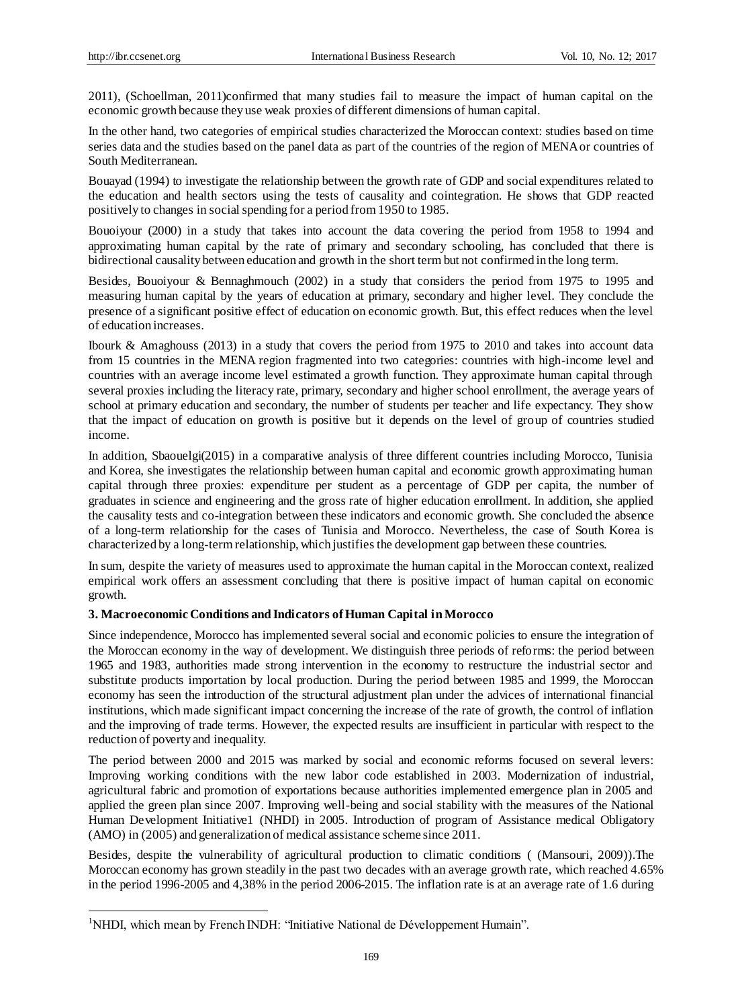1

2011), (Schoellman, 2011)confirmed that many studies fail to measure the impact of human capital on the economic growth because they use weak proxies of different dimensions of human capital.

In the other hand, two categories of empirical studies characterized the Moroccan context: studies based on time series data and the studies based on the panel data as part of the countries of the region of MENA or countries of South Mediterranean.

Bouayad (1994) to investigate the relationship between the growth rate of GDP and social expenditures related to the education and health sectors using the tests of causality and cointegration. He shows that GDP reacted positively to changes in social spending for a period from 1950 to 1985.

Bouoiyour (2000) in a study that takes into account the data covering the period from 1958 to 1994 and approximating human capital by the rate of primary and secondary schooling, has concluded that there is bidirectional causality between education and growth in the short term but not confirmed in the long term.

Besides, Bouoiyour & Bennaghmouch (2002) in a study that considers the period from 1975 to 1995 and measuring human capital by the years of education at primary, secondary and higher level. They conclude the presence of a significant positive effect of education on economic growth. But, this effect reduces when the level of education increases.

Ibourk & Amaghouss (2013) in a study that covers the period from 1975 to 2010 and takes into account data from 15 countries in the MENA region fragmented into two categories: countries with high-income level and countries with an average income level estimated a growth function. They approximate human capital through several proxies including the literacy rate, primary, secondary and higher school enrollment, the average years of school at primary education and secondary, the number of students per teacher and life expectancy. They show that the impact of education on growth is positive but it depends on the level of group of countries studied income.

In addition, Sbaouelgi(2015) in a comparative analysis of three different countries including Morocco, Tunisia and Korea, she investigates the relationship between human capital and economic growth approximating human capital through three proxies: expenditure per student as a percentage of GDP per capita, the number of graduates in science and engineering and the gross rate of higher education enrollment. In addition, she applied the causality tests and co-integration between these indicators and economic growth. She concluded the absence of a long-term relationship for the cases of Tunisia and Morocco. Nevertheless, the case of South Korea is characterized by a long-term relationship, which justifies the development gap between these countries.

In sum, despite the variety of measures used to approximate the human capital in the Moroccan context, realized empirical work offers an assessment concluding that there is positive impact of human capital on economic growth.

# **3. Macroeconomic Conditions and Indicators of Human Capital in Morocco**

Since independence, Morocco has implemented several social and economic policies to ensure the integration of the Moroccan economy in the way of development. We distinguish three periods of reforms: the period between 1965 and 1983, authorities made strong intervention in the economy to restructure the industrial sector and substitute products importation by local production. During the period between 1985 and 1999, the Moroccan economy has seen the introduction of the structural adjustment plan under the advices of international financial institutions, which made significant impact concerning the increase of the rate of growth, the control of inflation and the improving of trade terms. However, the expected results are insufficient in particular with respect to the reduction of poverty and inequality.

The period between 2000 and 2015 was marked by social and economic reforms focused on several levers: Improving working conditions with the new labor code established in 2003. Modernization of industrial, agricultural fabric and promotion of exportations because authorities implemented emergence plan in 2005 and applied the green plan since 2007. Improving well-being and social stability with the measures of the National Human Development Initiative1 (NHDI) in 2005. Introduction of program of Assistance medical Obligatory (AMO) in (2005) and generalization of medical assistance scheme since 2011.

Besides, despite the vulnerability of agricultural production to climatic conditions ( (Mansouri, 2009)).The Moroccan economy has grown steadily in the past two decades with an average growth rate, which reached 4.65% in the period 1996-2005 and 4,38% in the period 2006-2015. The inflation rate is at an average rate of 1.6 during

<sup>&</sup>lt;sup>1</sup>NHDI, which mean by French INDH: "Initiative National de Développement Humain".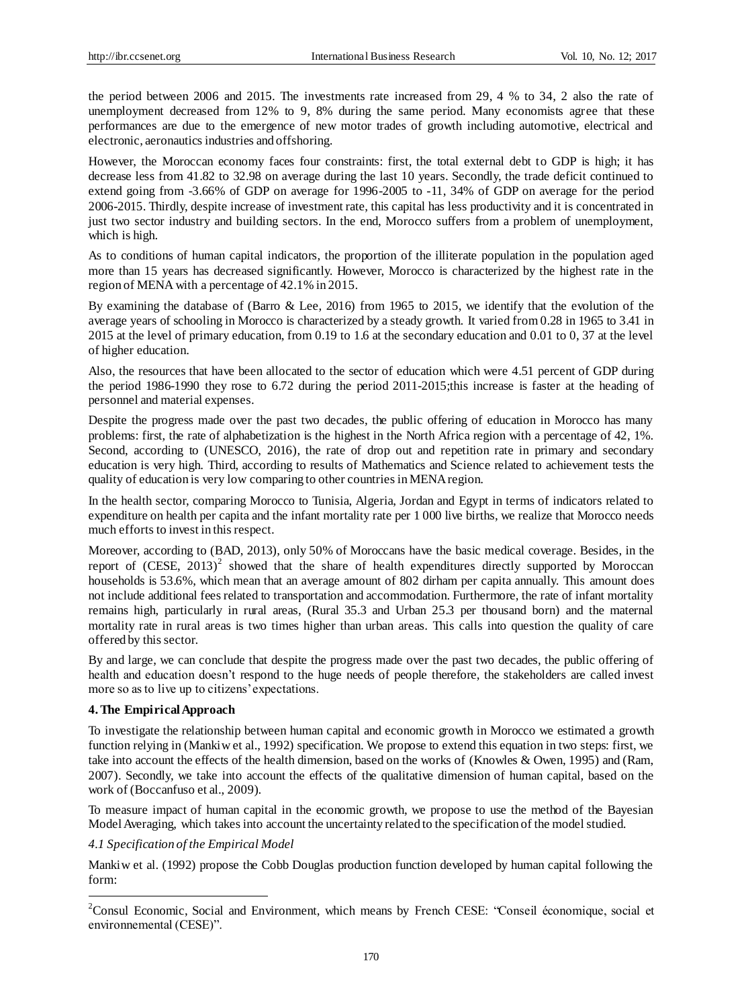the period between 2006 and 2015. The investments rate increased from 29, 4 % to 34, 2 also the rate of unemployment decreased from 12% to 9, 8% during the same period. Many economists agree that these performances are due to the emergence of new motor trades of growth including automotive, electrical and electronic, aeronautics industries and offshoring.

However, the Moroccan economy faces four constraints: first, the total external debt to GDP is high; it has decrease less from 41.82 to 32.98 on average during the last 10 years. Secondly, the trade deficit continued to extend going from -3.66% of GDP on average for 1996-2005 to -11, 34% of GDP on average for the period 2006-2015. Thirdly, despite increase of investment rate, this capital has less productivity and it is concentrated in just two sector industry and building sectors. In the end, Morocco suffers from a problem of unemployment, which is high.

As to conditions of human capital indicators, the proportion of the illiterate population in the population aged more than 15 years has decreased significantly. However, Morocco is characterized by the highest rate in the region of MENA with a percentage of 42.1% in 2015.

By examining the database of (Barro & Lee, 2016) from 1965 to 2015, we identify that the evolution of the average years of schooling in Morocco is characterized by a steady growth. It varied from 0.28 in 1965 to 3.41 in 2015 at the level of primary education, from 0.19 to 1.6 at the secondary education and 0.01 to 0, 37 at the level of higher education.

Also, the resources that have been allocated to the sector of education which were 4.51 percent of GDP during the period 1986-1990 they rose to 6.72 during the period 2011-2015;this increase is faster at the heading of personnel and material expenses.

Despite the progress made over the past two decades, the public offering of education in Morocco has many problems: first, the rate of alphabetization is the highest in the North Africa region with a percentage of 42, 1%. Second, according to (UNESCO, 2016), the rate of drop out and repetition rate in primary and secondary education is very high. Third, according to results of Mathematics and Science related to achievement tests the quality of education is very low comparing to other countries in MENA region.

In the health sector, comparing Morocco to Tunisia, Algeria, Jordan and Egypt in terms of indicators related to expenditure on health per capita and the infant mortality rate per 1 000 live births, we realize that Morocco needs much efforts to invest in this respect.

Moreover, according to (BAD, 2013), only 50% of Moroccans have the basic medical coverage. Besides, in the report of  $(CESE, 2013)^2$  showed that the share of health expenditures directly supported by Moroccan households is 53.6%, which mean that an average amount of 802 dirham per capita annually. This amount does not include additional fees related to transportation and accommodation. Furthermore, the rate of infant mortality remains high, particularly in rural areas, (Rural 35.3 and Urban 25.3 per thousand born) and the maternal mortality rate in rural areas is two times higher than urban areas. This calls into question the quality of care offered by this sector.

By and large, we can conclude that despite the progress made over the past two decades, the public offering of health and education doesn't respond to the huge needs of people therefore, the stakeholders are called invest more so as to live up to citizens' expectations.

# **4. The Empirical Approach**

1

To investigate the relationship between human capital and economic growth in Morocco we estimated a growth function relying in (Mankiw et al., 1992) specification. We propose to extend this equation in two steps: first, we take into account the effects of the health dimension, based on the works of (Knowles & Owen, 1995) and (Ram, 2007). Secondly, we take into account the effects of the qualitative dimension of human capital, based on the work of (Boccanfuso et al., 2009).

To measure impact of human capital in the economic growth, we propose to use the method of the Bayesian Model Averaging, which takes into account the uncertainty related to the specification of the model studied.

# *4.1 Specification of the Empirical Model*

Mankiw et al. (1992) propose the Cobb Douglas production function developed by human capital following the form:

<sup>&</sup>lt;sup>2</sup>Consul Economic, Social and Environment, which means by French CESE: "Conseil économique, social et environnemental (CESE)".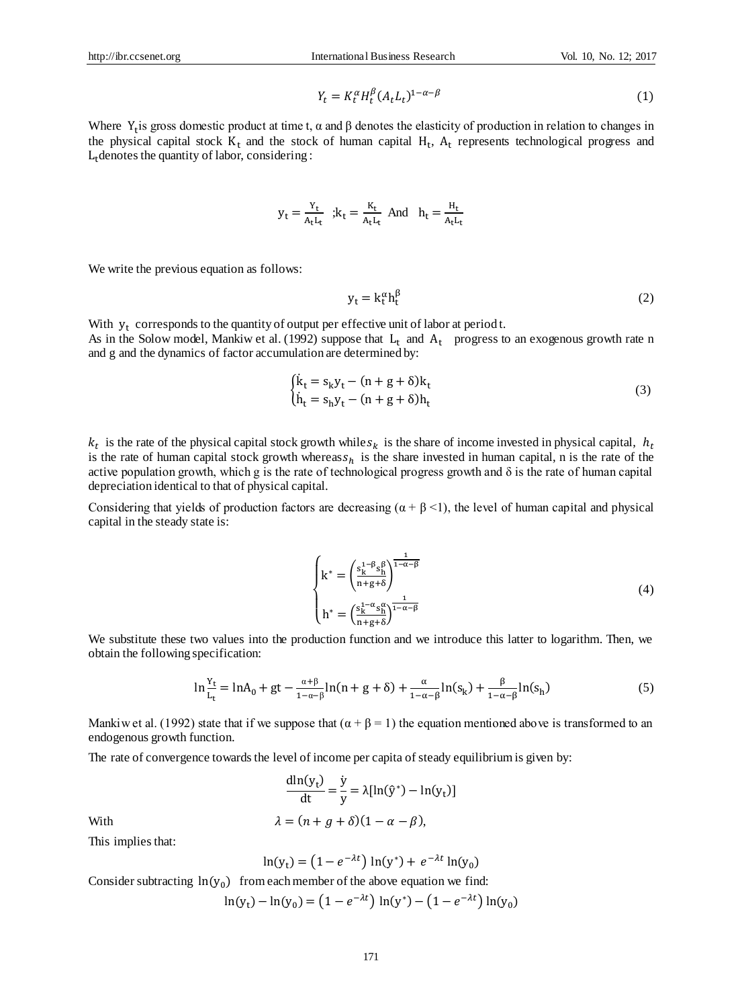$$
Y_t = K_t^{\alpha} H_t^{\beta} (A_t L_t)^{1-\alpha-\beta} \tag{1}
$$

Where  $Y_t$  is gross domestic product at time t,  $\alpha$  and  $\beta$  denotes the elasticity of production in relation to changes in the physical capital stock  $K_t$  and the stock of human capital  $H_t$ ,  $A_t$  represents technological progress and  $L_t$  denotes the quantity of labor, considering :

$$
y_t = \frac{Y_t}{A_t L_t} \hspace{1mm}; k_t = \frac{K_t}{A_t L_t} \hspace{1mm} \text{And} \hspace{1mm} h_t = \frac{H_t}{A_t L_t}
$$

We write the previous equation as follows:

$$
y_t = k_t^{\alpha} h_t^{\beta} \tag{2}
$$

With  $y_t$  corresponds to the quantity of output per effective unit of labor at period t. As in the Solow model, Mankiw et al. (1992) suppose that  $L_t$  and  $A_t$  progress to an exogenous growth rate n and g and the dynamics of factor accumulation are determined by:

$$
\begin{cases}\n\dot{\mathbf{k}}_{t} = \mathbf{s}_{k} \mathbf{y}_{t} - (\mathbf{n} + \mathbf{g} + \delta) \mathbf{k}_{t} \\
\dot{\mathbf{h}}_{t} = \mathbf{s}_{h} \mathbf{y}_{t} - (\mathbf{n} + \mathbf{g} + \delta) \mathbf{h}_{t}\n\end{cases}
$$
\n(3)

 $k_t$  is the rate of the physical capital stock growth while  $s_k$  is the share of income invested in physical capital,  $h_t$ is the rate of human capital stock growth whereas  $s_h$  is the share invested in human capital, n is the rate of the active population growth, which g is the rate of technological progress growth and  $\delta$  is the rate of human capital depreciation identical to that of physical capital.

Considering that yields of production factors are decreasing  $(\alpha + \beta \le 1)$ , the level of human capital and physical capital in the steady state is:

$$
\begin{cases} k^* = \left(\frac{s_k^{1-\beta}s_h^{\beta}}{n+g+\delta}\right)^{\frac{1}{1-\alpha-\beta}}\\ k^* = \left(\frac{s_k^{1-\alpha}s_h^{\alpha}}{n+g+\delta}\right)^{\frac{1}{1-\alpha-\beta}} \end{cases}
$$
\n(4)

We substitute these two values into the production function and we introduce this latter to logarithm. Then, we obtain the following specification:

$$
\ln \frac{Y_t}{L_t} = \ln A_0 + gt - \frac{\alpha + \beta}{1 - \alpha - \beta} \ln(n + g + \delta) + \frac{\alpha}{1 - \alpha - \beta} \ln(s_k) + \frac{\beta}{1 - \alpha - \beta} \ln(s_h)
$$
(5)

Mankiw et al. (1992) state that if we suppose that  $(\alpha + \beta = 1)$  the equation mentioned above is transformed to an endogenous growth function.

The rate of convergence towards the level of income per capita of steady equilibrium is given by:

$$
\frac{dln(y_t)}{dt} = \frac{\dot{y}}{y} = \lambda [ln(\hat{y}^*) - ln(y_t)]
$$
  
With  

$$
\lambda = (n + g + \delta)(1 - \alpha - \beta),
$$

This implies that:

$$
\ln(y_t) = (1 - e^{-\lambda t}) \ln(y^*) + e^{-\lambda t} \ln(y_0)
$$

Consider subtracting  $ln(y_0)$  from each member of the above equation we find:

$$
\ln(y_t) - \ln(y_0) = (1 - e^{-\lambda t}) \ln(y^*) - (1 - e^{-\lambda t}) \ln(y_0)
$$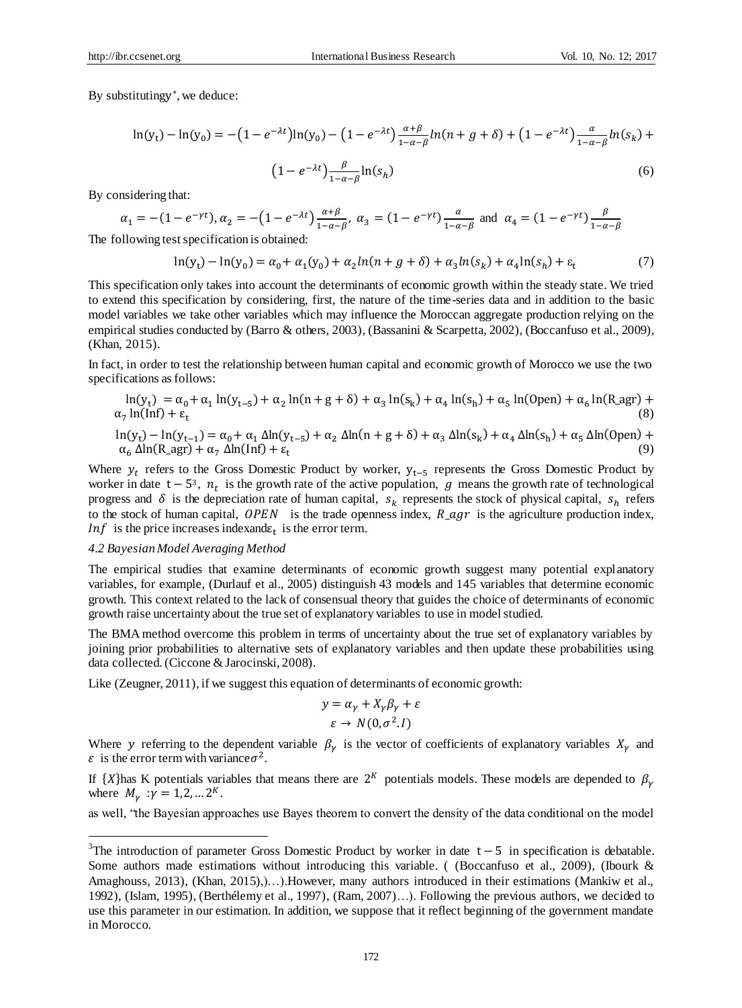By substitutingy ∗ , we deduce:

$$
\ln(y_t) - \ln(y_0) = -\left(1 - e^{-\lambda t}\right) \ln(y_0) - \left(1 - e^{-\lambda t}\right) \frac{\alpha + \beta}{1 - \alpha - \beta} \ln(n + g + \delta) + \left(1 - e^{-\lambda t}\right) \frac{\alpha}{1 - \alpha - \beta} \ln(s_k) + \frac{\beta}{1 - \alpha - \beta} \ln(s_k)
$$

$$
(1 - e^{-\lambda t}) \frac{\beta}{1 - \alpha - \beta} \ln(s_h) \tag{6}
$$

By considering that:

$$
\alpha_1 = -(1 - e^{-\gamma t}), \alpha_2 = -(1 - e^{-\lambda t}) \frac{\alpha + \beta}{1 - \alpha - \beta}, \alpha_3 = (1 - e^{-\gamma t}) \frac{\alpha}{1 - \alpha - \beta}
$$
 and  $\alpha_4 = (1 - e^{-\gamma t}) \frac{\beta}{1 - \alpha - \beta}$ 

The following test specification is obtained:

$$
\ln(y_t) - \ln(y_0) = \alpha_0 + \alpha_1(y_0) + \alpha_2 \ln(n + g + \delta) + \alpha_3 \ln(s_k) + \alpha_4 \ln(s_h) + \varepsilon_t
$$
 (7)

This specification only takes into account the determinants of economic growth within the steady state. We tried to extend this specification by considering, first, the nature of the time-series data and in addition to the basic model variables we take other variables which may influence the Moroccan aggregate production relying on the empirical studies conducted by (Barro & others, 2003), (Bassanini & Scarpetta, 2002), (Boccanfuso et al., 2009), (Khan, 2015).

In fact, in order to test the relationship between human capital and economic growth of Morocco we use the two specifications as follows:

$$
\ln(y_t) = \alpha_0 + \alpha_1 \ln(y_{t-5}) + \alpha_2 \ln(n + g + \delta) + \alpha_3 \ln(s_k) + \alpha_4 \ln(s_h) + \alpha_5 \ln(\text{Open}) + \alpha_6 \ln(\text{R\_agr}) + \alpha_7 \ln(\text{Inf}) + \epsilon_t
$$
\n
$$
\ln(y_t) - \ln(y_{t-1}) = \alpha_0 + \alpha_1 \Delta \ln(y_{t-5}) + \alpha_2 \Delta \ln(n + g + \delta) + \alpha_3 \Delta \ln(s_k) + \alpha_4 \Delta \ln(s_h) + \alpha_5 \Delta \ln(\text{Open}) + \alpha_6 \Delta \ln(\text{R\_agr}) + \alpha_7 \Delta \ln(\text{Inf}) + \epsilon_t
$$
\n(9)

Where  $y_t$  refers to the Gross Domestic Product by worker,  $y_{t-5}$  represents the Gross Domestic Product by worker in date  $t - 5^3$ ,  $n_t$  is the growth rate of the active population, g means the growth rate of technological progress and  $\delta$  is the depreciation rate of human capital,  $s_k$  represents the stock of physical capital,  $s_h$  refers to the stock of human capital, OPEN is the trade openness index,  $R_{\text{r}}$  is the agriculture production index, *Inf* is the price increases indexand $\varepsilon_t$  is the error term.

#### *4.2 Bayesian Model Averaging Method*

<u>.</u>

The empirical studies that examine determinants of economic growth suggest many potential explanatory variables, for example, (Durlauf et al., 2005) distinguish 43 models and 145 variables that determine economic growth. This context related to the lack of consensual theory that guides the choice of determinants of economic growth raise uncertainty about the true set of explanatory variables to use in model studied.

The BMA method overcome this problem in terms of uncertainty about the true set of explanatory variables by joining prior probabilities to alternative sets of explanatory variables and then update these probabilities using data collected. (Ciccone & Jarocinski, 2008).

Like (Zeugner, 2011), if we suggest this equation of determinants of economic growth:

$$
y = \alpha_{\gamma} + X_{\gamma}\beta_{\gamma} + \varepsilon
$$

$$
\varepsilon \to N(0, \sigma^2.I)
$$

Where y referring to the dependent variable  $\beta_{\gamma}$  is the vector of coefficients of explanatory variables  $X_{\gamma}$  and  $\varepsilon$  is the error term with variance  $\sigma^2$ .

If  $\{X\}$ has K potentials variables that means there are  $2^{K}$  potentials models. These models are depended to  $\beta_{\gamma}$ where  $M_{\gamma}$  :  $\gamma = 1, 2, ... 2^{K}$ .

as well, "the Bayesian approaches use Bayes theorem to convert the density of the data conditional on the model

<sup>&</sup>lt;sup>3</sup>The introduction of parameter Gross Domestic Product by worker in date  $t - 5$  in specification is debatable. Some authors made estimations without introducing this variable. ( (Boccanfuso et al., 2009), (Ibourk & Amaghouss, 2013), (Khan, 2015),)…).However, many authors introduced in their estimations (Mankiw et al., 1992), (Islam, 1995), (Berthélemy et al., 1997), (Ram, 2007)…). Following the previous authors, we decided to use this parameter in our estimation. In addition, we suppose that it reflect beginning of the government mandate in Morocco.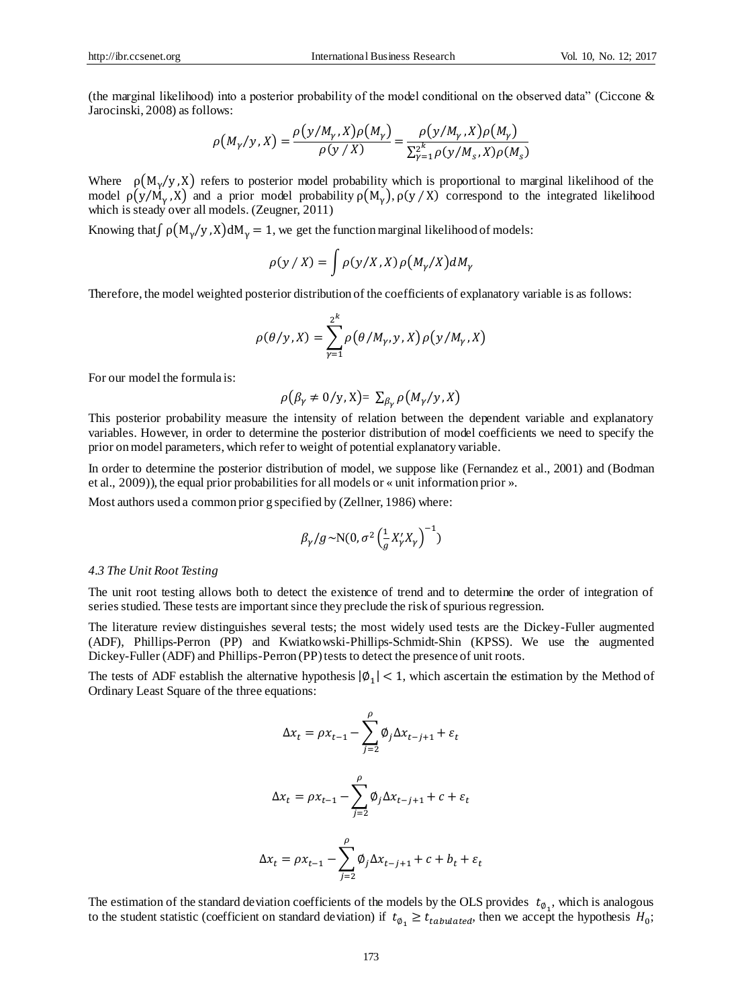(the marginal likelihood) into a posterior probability of the model conditional on the observed data" (Ciccone & Jarocinski, 2008) as follows:

$$
\rho\big(M_{\gamma}/y, X\big) = \frac{\rho\big(y/M_{\gamma}, X\big)\rho\big(M_{\gamma}\big)}{\rho\big(y/X\big)} = \frac{\rho\big(y/M_{\gamma}, X\big)\rho\big(M_{\gamma}\big)}{\sum_{\gamma=1}^{2^{k}} \rho\big(y/M_{S}, X\big)\rho\big(M_{S}\big)}
$$

Where  $\rho(M_{\gamma}/y, X)$  refers to posterior model probability which is proportional to marginal likelihood of the model  $\rho(y/M_\gamma, X)$  and a prior model probability  $\rho(M_\gamma)$ ,  $\rho(y/X)$  correspond to the integrated likelihood which is steady over all models. (Zeugner, 2011)

Knowing that  $\int \rho(M_{\gamma}/y) X dM_{\gamma} = 1$ , we get the function marginal likelihood of models:

$$
\rho(y/X) = \int \rho(y/X, X) \rho(M_{\gamma}/X) dM_{\gamma}
$$

Therefore, the model weighted posterior distribution of the coefficients of explanatory variable is as follows:

$$
\rho(\theta/y, X) = \sum_{\gamma=1}^{2^k} \rho(\theta/M_{\gamma}, y, X) \rho(y/M_{\gamma}, X)
$$

For our model the formula is:

$$
\rho(\beta_{\gamma} \neq 0/y, X) = \sum_{\beta_{\gamma}} \rho(M_{\gamma}/y, X)
$$

This posterior probability measure the intensity of relation between the dependent variable and explanatory variables. However, in order to determine the posterior distribution of model coefficients we need to specify the prior on model parameters, which refer to weight of potential explanatory variable.

In order to determine the posterior distribution of model, we suppose like (Fernandez et al., 2001) and (Bodman et al., 2009)), the equal prior probabilities for all models or «unit information prior ».

Most authors used a common prior g specified by (Zellner, 1986) where:

$$
\beta_{\gamma}/g \!\sim \!\! \mathrm{N}(0, \sigma^2 \left(\!\frac{1}{g} X_{\gamma}'X_{\gamma}\right)^{-1})
$$

#### *4.3 The Unit Root Testing*

The unit root testing allows both to detect the existence of trend and to determine the order of integration of series studied. These tests are important since they preclude the risk of spurious regression.

The literature review distinguishes several tests; the most widely used tests are the Dickey-Fuller augmented (ADF), Phillips-Perron (PP) and Kwiatkowski-Phillips-Schmidt-Shin (KPSS). We use the augmented Dickey-Fuller (ADF) and Phillips-Perron (PP) tests to detect the presence of unit roots.

The tests of ADF establish the alternative hypothesis  $|\phi_1| < 1$ , which ascertain the estimation by the Method of Ordinary Least Square of the three equations:

$$
\Delta x_t = \rho x_{t-1} - \sum_{j=2}^{\rho} \emptyset_j \Delta x_{t-j+1} + \varepsilon_t
$$
  

$$
\Delta x_t = \rho x_{t-1} - \sum_{j=2}^{\rho} \emptyset_j \Delta x_{t-j+1} + c + \varepsilon_t
$$
  

$$
\Delta x_t = \rho x_{t-1} - \sum_{j=2}^{\rho} \emptyset_j \Delta x_{t-j+1} + c + b_t + \varepsilon_t
$$

The estimation of the standard deviation coefficients of the models by the OLS provides  $t_{\varnothing_1}$ , which is analogous to the student statistic (coefficient on standard deviation) if  $t_{\phi_1} \ge t_{tabulated}$ , then we accept the hypothesis  $H_0$ ;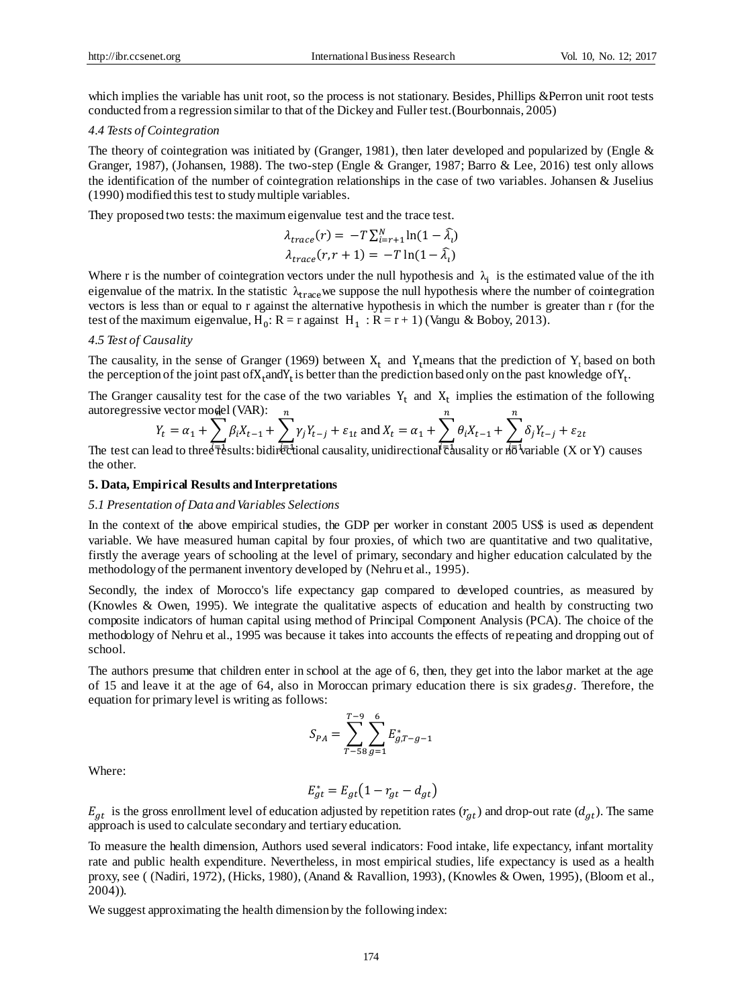which implies the variable has unit root, so the process is not stationary. Besides, Phillips &Perron unit root tests conducted from a regression similar to that of the Dickey and Fuller test.(Bourbonnais, 2005)

#### *4.4 Tests of Cointegration*

The theory of cointegration was initiated by (Granger, 1981), then later developed and popularized by (Engle & Granger, 1987), (Johansen, 1988). The two-step (Engle & Granger, 1987; Barro & Lee, 2016) test only allows the identification of the number of cointegration relationships in the case of two variables. Johansen & Juselius (1990) modified this test to study multiple variables.

They proposed two tests: the maximum eigenvalue test and the trace test.

$$
\lambda_{trace}(r) = -T \sum_{i=r+1}^{N} \ln(1 - \hat{\lambda}_i)
$$

$$
\lambda_{trace}(r, r+1) = -T \ln(1 - \hat{\lambda}_i)
$$

Where r is the number of cointegration vectors under the null hypothesis and  $\lambda_i$  is the estimated value of the ith eigenvalue of the matrix. In the statistic  $\lambda_{\text{trace}}$  we suppose the null hypothesis where the number of cointegration vectors is less than or equal to r against the alternative hypothesis in which the number is greater than r (for the test of the maximum eigenvalue,  $H_0$ :  $R = r$  against  $H_1 : R = r + 1$ ) (Vangu & Boboy, 2013).

#### *4.5 Test of Causality*

The causality, in the sense of Granger (1969) between  $X_t$  and Y<sub>t</sub>means that the prediction of Y<sub>t</sub> based on both the perception of the joint past of  $X_t$  and  $Y_t$  is better than the prediction based only on the past knowledge of  $Y_t$ .

The Granger causality test for the case of the two variables  $Y_t$  and  $X_t$  implies the estimation of the following autoregressive vector model (VAR):  $\overline{\phantom{a}}$  $\boldsymbol{n}$  $\boldsymbol{n}$ 

$$
Y_t = \alpha_1 + \sum_{i=1}^n \beta_i X_{t-1} + \sum_{i=1}^n \gamma_i Y_{t-j} + \varepsilon_{1t} \text{ and } X_t = \alpha_1 + \sum_{i=1}^n \theta_i X_{t-1} + \sum_{i=1}^n \delta_i Y_{t-j} + \varepsilon_{2t}
$$

The test can lead to three  $\bar{t}$  results: bidirectional causality, unidirectional  $\bar{t}$  alusality or  $d\bar{\sigma}$  variable (X or Y) causes the other.

#### **5. Data, Empirical Results and Interpretations**

#### *5.1 Presentation of Data and Variables Selections*

In the context of the above empirical studies, the GDP per worker in constant 2005 US\$ is used as dependent variable. We have measured human capital by four proxies, of which two are quantitative and two qualitative, firstly the average years of schooling at the level of primary, secondary and higher education calculated by the methodology of the permanent inventory developed by (Nehru et al., 1995).

Secondly, the index of Morocco's life expectancy gap compared to developed countries, as measured by (Knowles & Owen, 1995). We integrate the qualitative aspects of education and health by constructing two composite indicators of human capital using method of Principal Component Analysis (PCA). The choice of the methodology of Nehru et al., 1995 was because it takes into accounts the effects of repeating and dropping out of school.

The authors presume that children enter in school at the age of 6, then, they get into the labor market at the age of 15 and leave it at the age of 64, also in Moroccan primary education there is six gradesg. Therefore, the equation for primary level is writing as follows:

$$
S_{PA} = \sum_{T=58}^{T=9} \sum_{g=1}^{6} E_{g,T-g-1}^{*}
$$

Where:

$$
E_{gt}^* = E_{gt} \left( 1 - r_{gt} - d_{gt} \right)
$$

 $E_{at}$  is the gross enrollment level of education adjusted by repetition rates ( $r_{at}$ ) and drop-out rate ( $d_{at}$ ). The same approach is used to calculate secondary and tertiary education.

To measure the health dimension, Authors used several indicators: Food intake, life expectancy, infant mortality rate and public health expenditure. Nevertheless, in most empirical studies, life expectancy is used as a health proxy, see ( (Nadiri, 1972), (Hicks, 1980), (Anand & Ravallion, 1993), (Knowles & Owen, 1995), (Bloom et al., 2004)).

We suggest approximating the health dimension by the following index: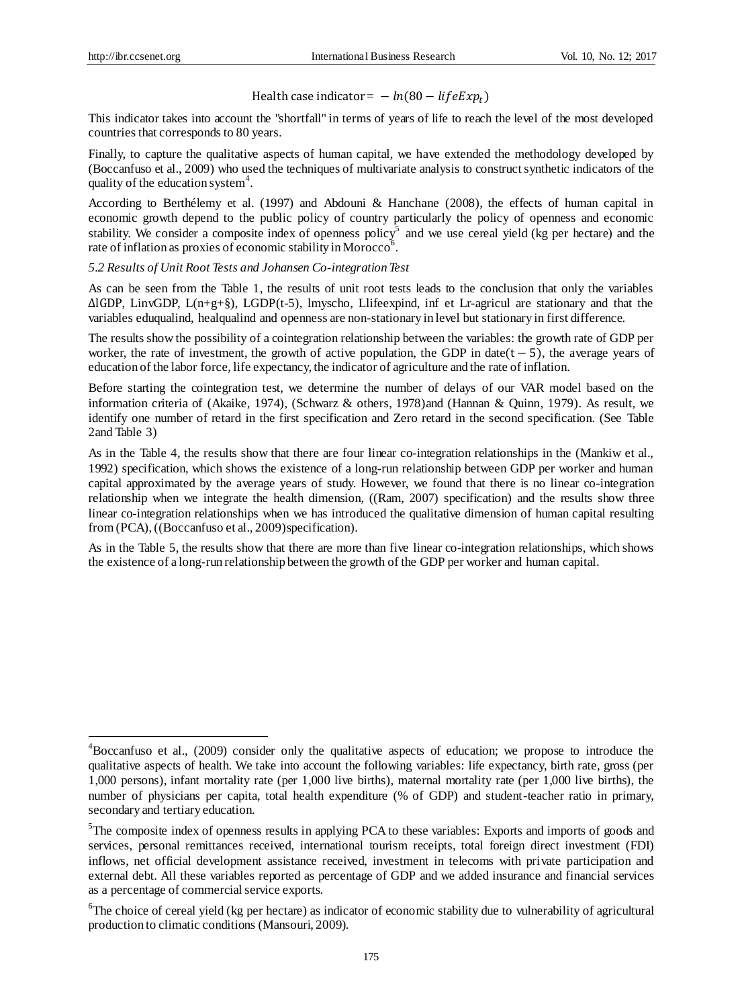<u>.</u>

# Health case indicator =  $- ln(80 - lifeExp_t)$

This indicator takes into account the "shortfall" in terms of years of life to reach the level of the most developed countries that corresponds to 80 years.

Finally, to capture the qualitative aspects of human capital, we have extended the methodology developed by (Boccanfuso et al., 2009) who used the techniques of multivariate analysis to construct synthetic indicators of the quality of the education system<sup>4</sup>.

According to Berthélemy et al. (1997) and Abdouni & Hanchane (2008), the effects of human capital in economic growth depend to the public policy of country particularly the policy of openness and economic stability. We consider a composite index of openness  $\text{policy}^5$  and we use cereal yield (kg per hectare) and the rate of inflation as proxies of economic stability in Morocco<sup>6</sup>.

*5.2 Results of Unit Root Tests and Johansen Co-integration Test*

As can be seen from the Table 1, the results of unit root tests leads to the conclusion that only the variables ∆lGDP, LinvGDP, L(n+g+§), LGDP(t-5), lmyscho, Llifeexpind, inf et Lr-agricul are stationary and that the variables eduqualind, healqualind and openness are non-stationary in level but stationary in first difference.

The results show the possibility of a cointegration relationship between the variables: the growth rate of GDP per worker, the rate of investment, the growth of active population, the GDP in date( $t - 5$ ), the average years of education of the labor force, life expectancy, the indicator of agriculture and the rate of inflation.

Before starting the cointegration test, we determine the number of delays of our VAR model based on the information criteria of (Akaike, 1974), (Schwarz & others, 1978)and (Hannan & Quinn, 1979). As result, we identify one number of retard in the first specification and Zero retard in the second specification. (See Table 2and Table 3)

As in the Table 4, the results show that there are four linear co-integration relationships in the (Mankiw et al., 1992) specification, which shows the existence of a long-run relationship between GDP per worker and human capital approximated by the average years of study. However, we found that there is no linear co-integration relationship when we integrate the health dimension, ((Ram, 2007) specification) and the results show three linear co-integration relationships when we has introduced the qualitative dimension of human capital resulting from (PCA), ((Boccanfuso et al., 2009)specification).

As in the Table 5, the results show that there are more than five linear co-integration relationships, which shows the existence of a long-run relationship between the growth of the GDP per worker and human capital.

<sup>4</sup>Boccanfuso et al., (2009) consider only the qualitative aspects of education; we propose to introduce the qualitative aspects of health. We take into account the following variables: life expectancy, birth rate, gross (per 1,000 persons), infant mortality rate (per 1,000 live births), maternal mortality rate (per 1,000 live births), the number of physicians per capita, total health expenditure (% of GDP) and student-teacher ratio in primary, secondary and tertiary education.

<sup>&</sup>lt;sup>5</sup>The composite index of openness results in applying PCA to these variables: Exports and imports of goods and services, personal remittances received, international tourism receipts, total foreign direct investment (FDI) inflows, net official development assistance received, investment in telecoms with private participation and external debt. All these variables reported as percentage of GDP and we added insurance and financial services as a percentage of commercial service exports.

<sup>&</sup>lt;sup>6</sup>The choice of cereal yield (kg per hectare) as indicator of economic stability due to vulnerability of agricultural production to climatic conditions (Mansouri, 2009).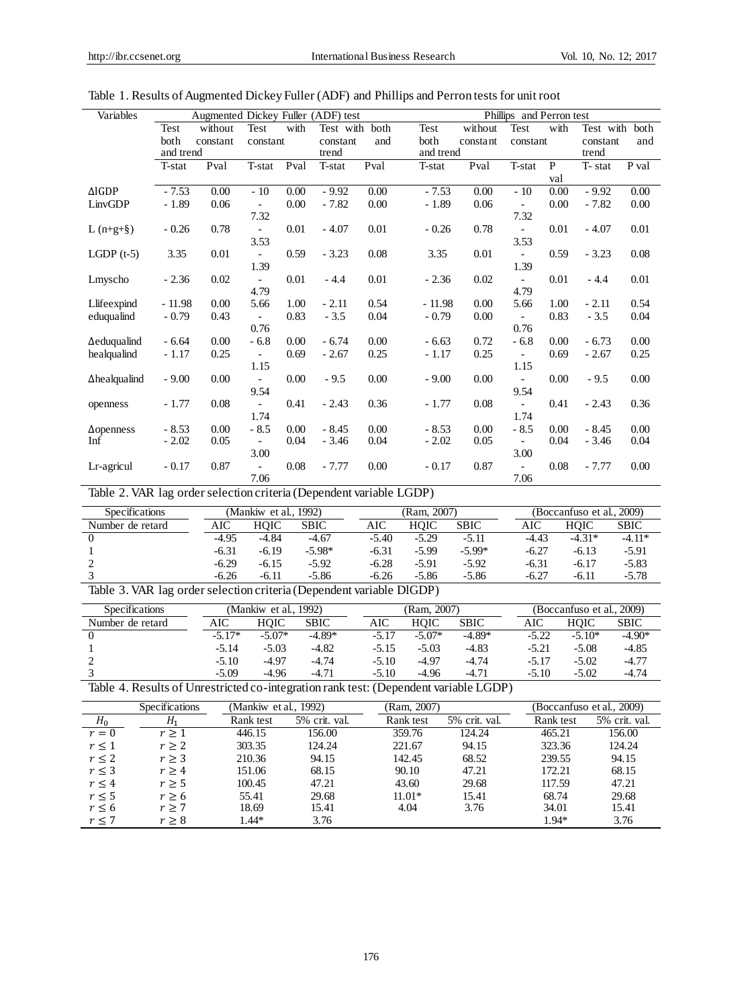| Variables            |           | Augmented Dickey Fuller (ADF) test |                          |      |           |      |        |           |          | Phillips and Perron test |      |           |       |
|----------------------|-----------|------------------------------------|--------------------------|------|-----------|------|--------|-----------|----------|--------------------------|------|-----------|-------|
|                      | Test      | without                            | Test                     | with | Test with | both | Test   |           | without  | Test                     | with | Test with | both  |
|                      | both      | constant                           | constant                 |      | constant  | and  | both   |           | constant | constant                 |      | constant  | and   |
|                      | and trend |                                    |                          |      | trend     |      |        | and trend |          |                          |      | trend     |       |
|                      | T-stat    | Pval                               | T-stat                   | Pval | T-stat    | Pval | T-stat |           | Pval     | T-stat                   | P    | T-stat    | P val |
|                      |           |                                    |                          |      |           |      |        |           |          |                          | val  |           |       |
| $\triangle$ IGDP     | $-7.53$   | 0.00                               | $-10$                    | 0.00 | $-9.92$   | 0.00 |        | $-7.53$   | 0.00     | $-10$                    | 0.00 | $-9.92$   | 0.00  |
| LinvGDP              | $-1.89$   | 0.06                               | $\overline{\phantom{a}}$ | 0.00 | $-7.82$   | 0.00 |        | $-1.89$   | 0.06     | $\blacksquare$           | 0.00 | $-7.82$   | 0.00  |
|                      |           |                                    | 7.32                     |      |           |      |        |           |          | 7.32                     |      |           |       |
| L $(n+g+§)$          | $-0.26$   | 0.78                               | $-$                      | 0.01 | $-4.07$   | 0.01 |        | $-0.26$   | 0.78     | $\overline{\phantom{a}}$ | 0.01 | $-4.07$   | 0.01  |
|                      |           |                                    | 3.53                     |      |           |      |        |           |          | 3.53                     |      |           |       |
| LGDP $(t-5)$         | 3.35      | 0.01                               | $\overline{\phantom{a}}$ | 0.59 | $-3.23$   | 0.08 |        | 3.35      | 0.01     |                          | 0.59 | $-3.23$   | 0.08  |
|                      |           |                                    | 1.39                     |      |           |      |        |           |          | 1.39                     |      |           |       |
| Lmyscho              | $-2.36$   | 0.02                               | $\overline{\phantom{a}}$ | 0.01 | $-4.4$    | 0.01 |        | $-2.36$   | 0.02     | $\overline{\phantom{a}}$ | 0.01 | $-4.4$    | 0.01  |
|                      |           |                                    | 4.79                     |      |           |      |        |           |          | 4.79                     |      |           |       |
| Llifeexpind          | $-11.98$  | 0.00                               | 5.66                     | 1.00 | $-2.11$   | 0.54 |        | $-11.98$  | 0.00     | 5.66                     | 1.00 | $-2.11$   | 0.54  |
| eduqualind           | $-0.79$   | 0.43                               |                          | 0.83 | $-3.5$    | 0.04 |        | $-0.79$   | 0.00     | $\overline{a}$           | 0.83 | $-3.5$    | 0.04  |
|                      |           |                                    | 0.76                     |      |           |      |        |           |          | 0.76                     |      |           |       |
| $\Delta$ eduqualind  | $-6.64$   | 0.00                               | $-6.8$                   | 0.00 | $-6.74$   | 0.00 |        | $-6.63$   | 0.72     | $-6.8$                   | 0.00 | $-6.73$   | 0.00  |
| healqualind          | $-1.17$   | 0.25                               |                          | 0.69 | $-2.67$   | 0.25 |        | $-1.17$   | 0.25     |                          | 0.69 | $-2.67$   | 0.25  |
|                      |           |                                    | 1.15                     |      |           |      |        |           |          | 1.15                     |      |           |       |
| $\Delta$ healqualind | $-9.00$   | 0.00                               | $\overline{\phantom{a}}$ | 0.00 | $-9.5$    | 0.00 |        | $-9.00$   | 0.00     | $\blacksquare$           | 0.00 | $-9.5$    | 0.00  |
|                      |           |                                    | 9.54                     |      |           |      |        |           |          | 9.54                     |      |           |       |
| openness             | $-1.77$   | 0.08                               | $\overline{\phantom{a}}$ | 0.41 | $-2.43$   | 0.36 |        | $-1.77$   | 0.08     | $\overline{\phantom{a}}$ | 0.41 | $-2.43$   | 0.36  |
|                      |           |                                    | 1.74                     |      |           |      |        |           |          | 1.74                     |      |           |       |
| $\Delta$ openness    | $-8.53$   | 0.00                               | $-8.5$                   | 0.00 | $-8.45$   | 0.00 |        | $-8.53$   | 0.00     | $-8.5$                   | 0.00 | $-8.45$   | 0.00  |
| Inf                  | $-2.02$   | 0.05                               | $\overline{\phantom{a}}$ | 0.04 | $-3.46$   | 0.04 |        | $-2.02$   | 0.05     | $\overline{\phantom{a}}$ | 0.04 | $-3.46$   | 0.04  |
|                      |           |                                    | 3.00                     |      |           |      |        |           |          | 3.00                     |      |           |       |
| Lr-agricul           | $-0.17$   | 0.87                               | $\overline{\phantom{a}}$ | 0.08 | $-7.77$   | 0.00 |        | $-0.17$   | 0.87     |                          | 0.08 | $-7.77$   | 0.00  |
|                      |           |                                    | 7.06                     |      |           |      |        |           |          | 7.06                     |      |           |       |

Table 1. Results of Augmented Dickey Fuller (ADF) and Phillips and Perron tests for unit root

Table 2. VAR lag order selection criteria (Dependent variable LGDP)

|         | (Mankiw et al., 1992) |             |         |         |             |             | (Boccanfuso et al., 2009) |             |  |  |
|---------|-----------------------|-------------|---------|---------|-------------|-------------|---------------------------|-------------|--|--|
| AIC     | HOIC                  | <b>SBIC</b> | AIC     | HOIC    | <b>SBIC</b> | AIC         | HOIC                      | <b>SBIC</b> |  |  |
| $-4.95$ | -4.84                 | $-4.67$     | $-5.40$ | $-5.29$ | $-5.11$     | -4.43       | $-4.31*$                  | $-4.11*$    |  |  |
| $-6.31$ | $-6.19$               | $-5.98*$    | $-6.31$ | $-5.99$ | $-5.99*$    | $-6.27$     | $-6.13$                   | $-5.91$     |  |  |
| $-6.29$ | $-6.15$               | $-5.92$     | $-6.28$ | $-5.91$ | $-5.92$     | $-6.31$     | $-6.17$                   | $-5.83$     |  |  |
| $-6.26$ | $-6.11$               | $-5.86$     | $-6.26$ | $-5.86$ | $-5.86$     | $-6.27$     | $-6.11$                   | $-5.78$     |  |  |
|         |                       |             |         |         |             | (Ram. 2007) |                           |             |  |  |

| Table 3. VAR lag order selection criteria (Dependent variable DIGDP) |  |
|----------------------------------------------------------------------|--|
|                                                                      |  |

| <b>Specifications</b> |          | (Mankiw et al., )<br>1992) |             |  | (Ram. 2007) |          |          |  | (Boccanfuso et al., 2009) |          |          |  |
|-----------------------|----------|----------------------------|-------------|--|-------------|----------|----------|--|---------------------------|----------|----------|--|
| Number de retard      | AIC      | HOIC                       | <b>SBIC</b> |  | AIC         | HOIC     | SBIC     |  | AIC                       | HOIC     | SBIC     |  |
|                       | $-5.17*$ | $-5.07*$                   | $-4.89*$    |  | $-5.1'$     | $-5.07*$ | $-4.89*$ |  | $-5.22$                   | $-5.10*$ | $-4.90*$ |  |
|                       | $-5.14$  | $-5.03$                    | $-4.82$     |  | $-5.15$     | $-5.03$  | $-4.83$  |  | $-5.21$                   | $-5.08$  | $-4.85$  |  |
|                       | $-5.10$  | $-4.97$                    | $-4.74$     |  | $-5.10$     | $-4.97$  | $-4.74$  |  | $-5.17$                   | $-5.02$  | $-4.77$  |  |
|                       | $-5.09$  | $-4.96$                    | $-4.71$     |  | $-5.10$     | $-4.96$  | $-4.71$  |  | $-5.10$                   | $-5.02$  | $-4.74$  |  |

Table 4. Results of Unrestricted co-integration rank test: (Dependent variable LGDP)

|            | <b>Specifications</b> | (Mankiw et al., 1992) |               | (Ram, 2007) |               |           | (Boccanfuso et al., 2009) |
|------------|-----------------------|-----------------------|---------------|-------------|---------------|-----------|---------------------------|
| $H_0$      | Н.                    | Rank test             | 5% crit. val. | Rank test   | 5% crit. val. | Rank test | 5% crit. val.             |
| $r=0$      | r > 1                 | 446.15                | 156.00        | 359.76      | 124.24        | 465.21    | 156.00                    |
| r<1        | r > 2                 | 303.35                | 124.24        | 221.67      | 94.15         | 323.36    | 124.24                    |
| $r \leq 2$ | r > 3                 | 210.36                | 94.15         | 142.45      | 68.52         | 239.55    | 94.15                     |
| r < 3      | r > 4                 | 151.06                | 68.15         | 90.10       | 47.21         | 172.21    | 68.15                     |
| r < 4      | r > 5                 | 100.45                | 47.21         | 43.60       | 29.68         | 117.59    | 47.21                     |
| r < 5      | r > 6                 | 55.41                 | 29.68         | $11.01*$    | 15.41         | 68.74     | 29.68                     |
| $r \leq 6$ | r > 7                 | 18.69                 | 15.41         | 4.04        | 3.76          | 34.01     | 15.41                     |
| $r \leq 7$ | r > 8                 | $1.44*$               | 3.76          |             |               | $1.94*$   | 3.76                      |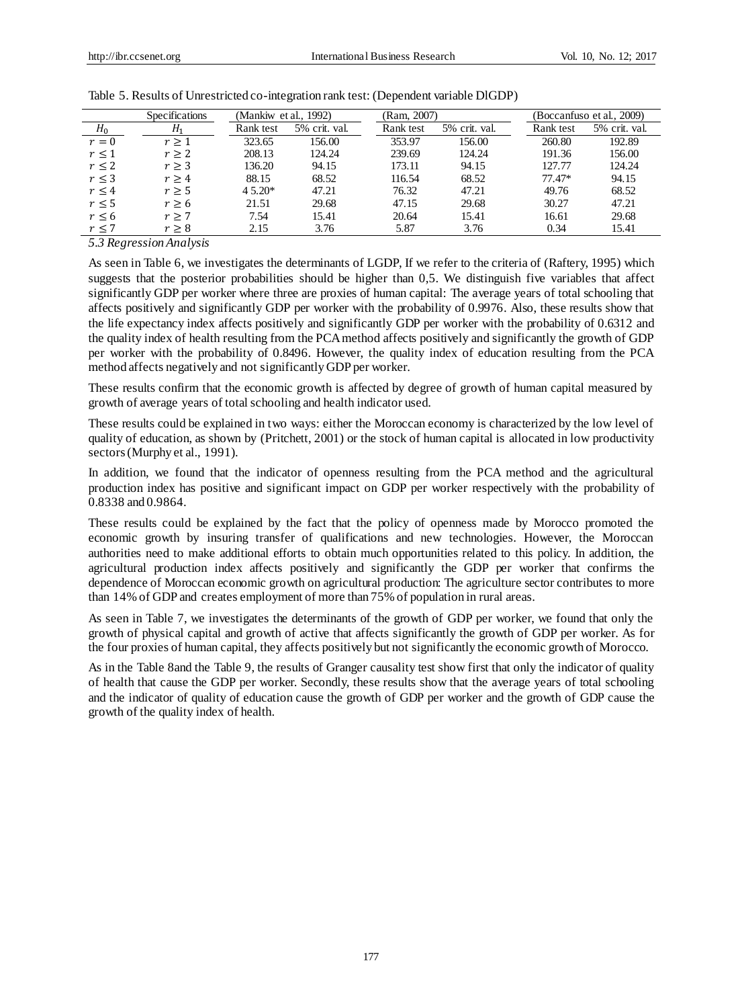|            | Specifications | (Mankiw et al., 1992) |               | (Ram, 2007) |               |           | (Boccanfuso et al., 2009) |
|------------|----------------|-----------------------|---------------|-------------|---------------|-----------|---------------------------|
| $H_0$      | $H_1$          | Rank test             | 5% crit. val. | Rank test   | 5% crit. val. | Rank test | 5% crit. val.             |
| $r=0$      | r > 1          | 323.65                | 156.00        | 353.97      | 156.00        | 260.80    | 192.89                    |
| $r \leq 1$ | r > 2          | 208.13                | 124.24        | 239.69      | 124.24        | 191.36    | 156.00                    |
| $r \leq 2$ | r > 3          | 136.20                | 94.15         | 173.11      | 94.15         | 127.77    | 124.24                    |
| $r \leq 3$ | r > 4          | 88.15                 | 68.52         | 116.54      | 68.52         | $77.47*$  | 94.15                     |
| $r \leq 4$ | r > 5          | $4.5.20*$             | 47.21         | 76.32       | 47.21         | 49.76     | 68.52                     |
| r < 5      | r > 6          | 21.51                 | 29.68         | 47.15       | 29.68         | 30.27     | 47.21                     |
| $r \leq 6$ | r > 7          | 7.54                  | 15.41         | 20.64       | 15.41         | 16.61     | 29.68                     |
| r < 7      | r > 8          | 2.15                  | 3.76          | 5.87        | 3.76          | 0.34      | 15.41                     |
|            |                |                       |               |             |               |           |                           |

| Table 5. Results of Unrestricted co-integration rank test: (Dependent variable DIGDP) |  |  |  |  |  |
|---------------------------------------------------------------------------------------|--|--|--|--|--|
|                                                                                       |  |  |  |  |  |

*5.3 Regression Analysis*

As seen in Table 6, we investigates the determinants of LGDP, If we refer to the criteria of (Raftery, 1995) which suggests that the posterior probabilities should be higher than 0,5. We distinguish five variables that affect significantly GDP per worker where three are proxies of human capital: The average years of total schooling that affects positively and significantly GDP per worker with the probability of 0.9976. Also, these results show that the life expectancy index affects positively and significantly GDP per worker with the probability of 0.6312 and the quality index of health resulting from the PCA method affects positively and significantly the growth of GDP per worker with the probability of 0.8496. However, the quality index of education resulting from the PCA method affects negatively and not significantly GDP per worker.

These results confirm that the economic growth is affected by degree of growth of human capital measured by growth of average years of total schooling and health indicator used.

These results could be explained in two ways: either the Moroccan economy is characterized by the low level of quality of education, as shown by (Pritchett, 2001) or the stock of human capital is allocated in low productivity sectors (Murphy et al., 1991).

In addition, we found that the indicator of openness resulting from the PCA method and the agricultural production index has positive and significant impact on GDP per worker respectively with the probability of 0.8338 and 0.9864.

These results could be explained by the fact that the policy of openness made by Morocco promoted the economic growth by insuring transfer of qualifications and new technologies. However, the Moroccan authorities need to make additional efforts to obtain much opportunities related to this policy. In addition, the agricultural production index affects positively and significantly the GDP per worker that confirms the dependence of Moroccan economic growth on agricultural production: The agriculture sector contributes to more than 14% of GDP and creates employment of more than 75% of population in rural areas.

As seen in Table 7, we investigates the determinants of the growth of GDP per worker, we found that only the growth of physical capital and growth of active that affects significantly the growth of GDP per worker. As for the four proxies of human capital, they affects positively but not significantly the economic growth of Morocco.

As in the Table 8and the Table 9, the results of Granger causality test show first that only the indicator of quality of health that cause the GDP per worker. Secondly, these results show that the average years of total schooling and the indicator of quality of education cause the growth of GDP per worker and the growth of GDP cause the growth of the quality index of health.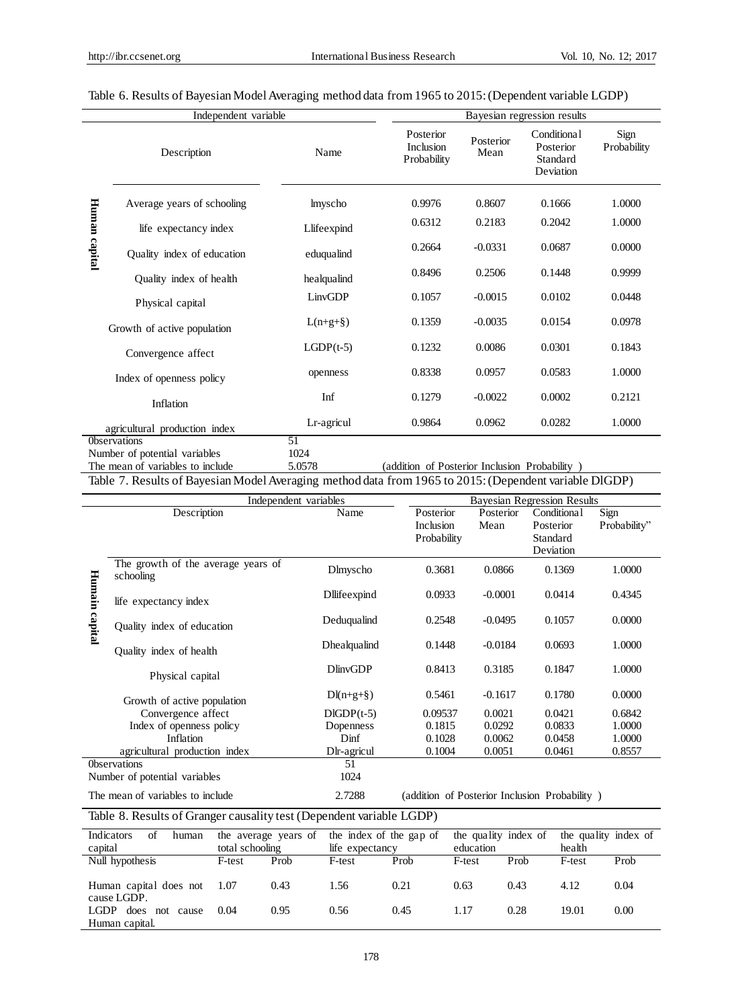|               | Independent variable                                 |             |                                       |                   | Bayesian regression results                       |                     |
|---------------|------------------------------------------------------|-------------|---------------------------------------|-------------------|---------------------------------------------------|---------------------|
|               | Description                                          | Name        | Posterior<br>Inclusion<br>Probability | Posterior<br>Mean | Conditional<br>Posterior<br>Standard<br>Deviation | Sign<br>Probability |
|               | Average years of schooling                           | lmyscho     | 0.9976                                | 0.8607            | 0.1666                                            | 1.0000              |
| Human capital | life expectancy index                                | Llifeexpind | 0.6312                                | 0.2183            | 0.2042                                            | 1.0000              |
|               | Quality index of education                           | eduqualind  | 0.2664                                | $-0.0331$         | 0.0687                                            | 0.0000              |
|               | Quality index of health                              | healqualind | 0.8496                                | 0.2506            | 0.1448                                            | 0.9999              |
|               | Physical capital                                     | LinvGDP     | 0.1057                                | $-0.0015$         | 0.0102                                            | 0.0448              |
|               | Growth of active population                          | $L(n+g+§)$  | 0.1359                                | $-0.0035$         | 0.0154                                            | 0.0978              |
|               | Convergence affect                                   | $LGDP(t-5)$ | 0.1232                                | 0.0086            | 0.0301                                            | 0.1843              |
|               | Index of openness policy                             | openness    | 0.8338                                | 0.0957            | 0.0583                                            | 1.0000              |
|               | Inflation                                            | Inf         | 0.1279                                | $-0.0022$         | 0.0002                                            | 0.2121              |
|               | agricultural production index                        | Lr-agricul  | 0.9864                                | 0.0962            | 0.0282                                            | 1.0000              |
|               | <b>Observations</b><br>Number of potential variables | 51<br>1024  |                                       |                   |                                                   |                     |

# Table 6. Results of Bayesian Model Averaging method data from 1965 to 2015: (Dependent variable LGDP)

The mean of variables to include 5.0578 (addition of Posterior Inclusion Probability)

Table 7. Results of Bayesian Model Averaging method data from 1965 to 2015: (Dependent variable DlGDP)

|         | Independent variables                           |                         |                                               |                   | <b>Bayesian Regression Results</b>                |                      |
|---------|-------------------------------------------------|-------------------------|-----------------------------------------------|-------------------|---------------------------------------------------|----------------------|
|         | Description                                     | Name                    | Posterior<br><b>Inclusion</b><br>Probability  | Posterior<br>Mean | Conditiona1<br>Posterior<br>Standard<br>Deviation | Sign<br>Probability" |
|         | The growth of the average years of<br>schooling | Dlmyscho                | 0.3681                                        | 0.0866            | 0.1369                                            | 1.0000               |
| Humain  | life expectancy index                           | Dllifeexpind            | 0.0933                                        | $-0.0001$         | 0.0414                                            | 0.4345               |
| capital | Quality index of education                      | Deduqualind             | 0.2548                                        | $-0.0495$         | 0.1057                                            | 0.0000               |
|         | Quality index of health                         | Dhealqualind            | 0.1448                                        | $-0.0184$         | 0.0693                                            | 1.0000               |
|         | Physical capital                                | <b>DlinvGDP</b>         | 0.8413                                        | 0.3185            | 0.1847                                            | 1.0000               |
|         | Growth of active population                     | $Dl(n+g+\S)$            | 0.5461                                        | $-0.1617$         | 0.1780                                            | 0.0000               |
|         | Convergence affect                              | $DIGDP(t-5)$            | 0.09537                                       | 0.0021            | 0.0421                                            | 0.6842               |
|         | Index of openness policy                        | Dopenness               | 0.1815                                        | 0.0292            | 0.0833                                            | 1.0000               |
|         | Inflation                                       | Dinf                    | 0.1028                                        | 0.0062            | 0.0458                                            | 1.0000               |
|         | agricultural production index                   | D <sub>r</sub> -agricul | 0.1004                                        | 0.0051            | 0.0461                                            | 0.8557               |
|         | <b>Observations</b>                             | 51                      |                                               |                   |                                                   |                      |
|         | Number of potential variables                   | 1024                    |                                               |                   |                                                   |                      |
|         | The mean of variables to include                | 2.7288                  | (addition of Posterior Inclusion Probability) |                   |                                                   |                      |

Table 8. Results of Granger causality test (Dependent variable LGDP)

| Indicators<br>of<br>human<br>capital      | the average years of<br>total schooling |      | the index of the gap of<br>life expectancy |      | the quality index of<br>education |      | the quality index of<br>health |      |
|-------------------------------------------|-----------------------------------------|------|--------------------------------------------|------|-----------------------------------|------|--------------------------------|------|
| Null hypothesis                           | F-test                                  | Prob | F-test                                     | Prob | F-test                            | Prob | F-test                         | Prob |
| Human capital does not<br>cause LGDP.     | - 1.07                                  | 0.43 | 1.56                                       | 0.21 | 0.63                              | 0.43 | 4.12                           | 0.04 |
| LGDP.<br>does not cause<br>Human capital. | 0.04                                    | 0.95 | 0.56                                       | 0.45 | 1.17                              | 0.28 | 19.01                          | 0.00 |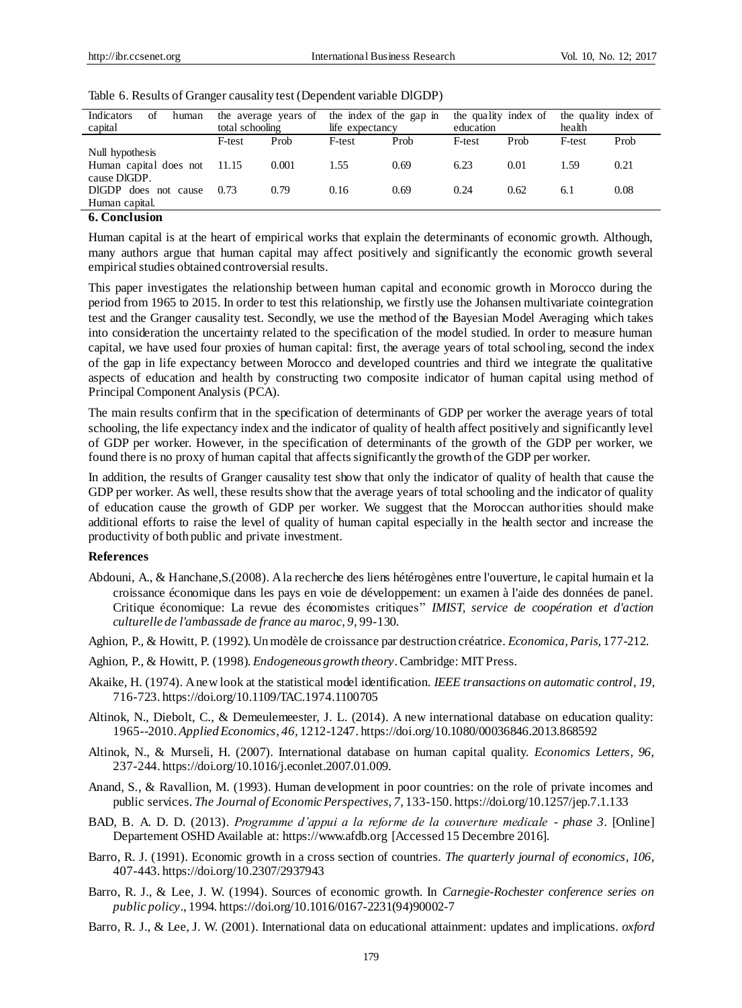| of<br>Indicators<br>human<br>capital |        | the average years of<br>total schooling |        | the index of the gap in<br>life expectancy |        | the quality index of<br>education |        | the quality index of<br>health |  |
|--------------------------------------|--------|-----------------------------------------|--------|--------------------------------------------|--------|-----------------------------------|--------|--------------------------------|--|
|                                      | F-test | Prob                                    | F-test | Prob                                       | F-test | Prob                              | F-test | Prob                           |  |
| Null hypothesis                      |        |                                         |        |                                            |        |                                   |        |                                |  |
| Human capital does not               | 11.15  | 0.001                                   | 1.55   | 0.69                                       | 6.23   | 0.01                              | 1.59   | 0.21                           |  |
| cause DIGDP.                         |        |                                         |        |                                            |        |                                   |        |                                |  |
| DIGDP<br>does not cause              | 0.73   | 0.79                                    | 0.16   | 0.69                                       | 0.24   | 0.62                              | 6.1    | 0.08                           |  |
| Human capital.                       |        |                                         |        |                                            |        |                                   |        |                                |  |

Table 6. Results of Granger causality test (Dependent variable DlGDP)

## **6. Conclusion**

Human capital is at the heart of empirical works that explain the determinants of economic growth. Although, many authors argue that human capital may affect positively and significantly the economic growth several empirical studies obtained controversial results.

This paper investigates the relationship between human capital and economic growth in Morocco during the period from 1965 to 2015. In order to test this relationship, we firstly use the Johansen multivariate cointegration test and the Granger causality test. Secondly, we use the method of the Bayesian Model Averaging which takes into consideration the uncertainty related to the specification of the model studied. In order to measure human capital, we have used four proxies of human capital: first, the average years of total schooling, second the index of the gap in life expectancy between Morocco and developed countries and third we integrate the qualitative aspects of education and health by constructing two composite indicator of human capital using method of Principal Component Analysis (PCA).

The main results confirm that in the specification of determinants of GDP per worker the average years of total schooling, the life expectancy index and the indicator of quality of health affect positively and significantly level of GDP per worker. However, in the specification of determinants of the growth of the GDP per worker, we found there is no proxy of human capital that affects significantly the growth of the GDP per worker.

In addition, the results of Granger causality test show that only the indicator of quality of health that cause the GDP per worker. As well, these results show that the average years of total schooling and the indicator of quality of education cause the growth of GDP per worker. We suggest that the Moroccan authorities should make additional efforts to raise the level of quality of human capital especially in the health sector and increase the productivity of both public and private investment.

#### **References**

- Abdouni, A., & Hanchane,S.(2008). A la recherche des liens hétérogènes entre l'ouverture, le capital humain et la croissance économique dans les pays en voie de développement: un examen à l'aide des données de panel. Critique économique: La revue des économistes critiques'' *IMIST, service de coopération et d'action culturelle de l'ambassade de france au maroc*, *9,* 99-130.
- Aghion, P., & Howitt, P. (1992). Un modèle de croissance par destruction créatrice. *Economica, Paris*, 177-212.
- Aghion, P., & Howitt, P. (1998). *Endogeneous growth theory*. Cambridge: MIT Press.
- Akaike, H. (1974). A new look at the statistical model identification. *IEEE transactions on automatic control*, *19,*  716-723. https://doi.org/10.1109/TAC.1974.1100705
- Altinok, N., Diebolt, C., & Demeulemeester, J. L. (2014). A new international database on education quality: 1965--2010. *Applied Economics*, *46,* 1212-1247. https://doi.org/10.1080/00036846.2013.868592
- Altinok, N., & Murseli, H. (2007). International database on human capital quality. *Economics Letters, 96,* 237-244. https://doi.org/10.1016/j.econlet.2007.01.009.
- Anand, S., & Ravallion, M. (1993). Human development in poor countries: on the role of private incomes and public services. *The Journal of Economic Perspectives*, *7,* 133-150. https://doi.org/10.1257/jep.7.1.133
- BAD, B. A. D. D. (2013). *Programme d'appui a la reforme de la couverture medicale - phase 3*. [Online] Departement OSHD Available at: https://www.afdb.org [Accessed 15 Decembre 2016].
- Barro, R. J. (1991). Economic growth in a cross section of countries. *The quarterly journal of economics*, *106,*  407-443. https://doi.org/10.2307/2937943
- Barro, R. J., & Lee, J. W. (1994). Sources of economic growth. In *Carnegie-Rochester conference series on public policy*., 1994. https://doi.org/10.1016/0167-2231(94)90002-7
- Barro, R. J., & Lee, J. W. (2001). International data on educational attainment: updates and implications. *oxford*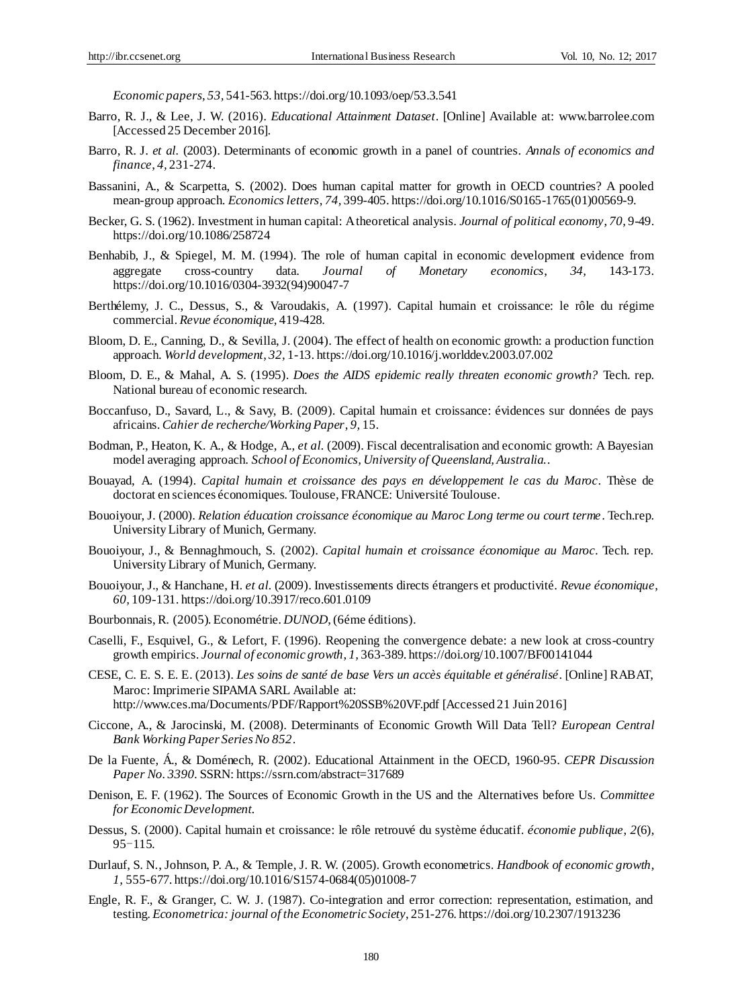*Economic papers*, *53,* 541-563. https://doi.org/10.1093/oep/53.3.541

- Barro, R. J., & Lee, J. W. (2016). *Educational Attainment Dataset*. [Online] Available at: www.barrolee.com [Accessed 25 December 2016].
- Barro, R. J. *et al.* (2003). Determinants of economic growth in a panel of countries. *Annals of economics and finance*, *4,* 231-274.
- Bassanini, A., & Scarpetta, S. (2002). Does human capital matter for growth in OECD countries? A pooled mean-group approach. *Economics letters*, *74,* 399-405. https://doi.org/10.1016/S0165-1765(01)00569-9.
- Becker, G. S. (1962). Investment in human capital: A theoretical analysis. *Journal of political economy*, *70,* 9-49. https://doi.org/10.1086/258724
- Benhabib, J., & Spiegel, M. M. (1994). The role of human capital in economic development evidence from aggregate cross-country data. *Journal of Monetary economics*, *34,* 143-173. https://doi.org/10.1016/0304-3932(94)90047-7
- Berthélemy, J. C., Dessus, S., & Varoudakis, A. (1997). Capital humain et croissance: le rôle du régime commercial. *Revue économique*, 419-428.
- Bloom, D. E., Canning, D., & Sevilla, J. (2004). The effect of health on economic growth: a production function approach. *World development*, *32,* 1-13. https://doi.org/10.1016/j.worlddev.2003.07.002
- Bloom, D. E., & Mahal, A. S. (1995). *Does the AIDS epidemic really threaten economic growth?* Tech. rep. National bureau of economic research.
- Boccanfuso, D., Savard, L., & Savy, B. (2009). Capital humain et croissance: évidences sur données de pays africains. *Cahier de recherche/Working Paper*, *9,* 15.
- Bodman, P., Heaton, K. A., & Hodge, A., *et al.* (2009). Fiscal decentralisation and economic growth: A Bayesian model averaging approach. *School of Economics, University of Queensland, Australia.*.
- Bouayad, A. (1994). *Capital humain et croissance des pays en développement le cas du Maroc*. Thèse de doctorat en sciences économiques. Toulouse, FRANCE: Université Toulouse.
- Bouoiyour, J. (2000). *Relation éducation croissance économique au Maroc Long terme ou court terme*. Tech.rep. University Library of Munich, Germany.
- Bouoiyour, J., & Bennaghmouch, S. (2002). *Capital humain et croissance économique au Maroc*. Tech. rep. University Library of Munich, Germany.
- Bouoiyour, J., & Hanchane, H. *et al.* (2009). Investissements directs étrangers et productivité. *Revue économique*, *60,* 109-131. https://doi.org/10.3917/reco.601.0109
- Bourbonnais, R. (2005). Econométrie. *DUNOD*, (6éme éditions).
- Caselli, F., Esquivel, G., & Lefort, F. (1996). Reopening the convergence debate: a new look at cross-country growth empirics. *Journal of economic growth*, *1,* 363-389. https://doi.org/10.1007/BF00141044
- CESE, C. E. S. E. E. (2013). *Les soins de santé de base Vers un accès équitable et généralisé*. [Online] RABAT, Maroc: Imprimerie SIPAMA SARL Available at: http://www.ces.ma/Documents/PDF/Rapport%20SSB%20VF.pdf [Accessed 21 Juin 2016]
- Ciccone, A., & Jarocinski, M. (2008). Determinants of Economic Growth Will Data Tell? *European Central Bank Working Paper Series No 852*.
- De la Fuente, Á., & Doménech, R. (2002). Educational Attainment in the OECD, 1960-95. *CEPR Discussion Paper No. 3390.* SSRN: https://ssrn.com/abstract=317689
- Denison, E. F. (1962). The Sources of Economic Growth in the US and the Alternatives before Us. *Committee for Economic Development*.
- Dessus, S. (2000). Capital humain et croissance: le rôle retrouvé du système éducatif. *économie publique*, *2*(6), 95-115.
- Durlauf, S. N., Johnson, P. A., & Temple, J. R. W. (2005). Growth econometrics. *Handbook of economic growth*, *1,* 555-677. https://doi.org/10.1016/S1574-0684(05)01008-7
- Engle, R. F., & Granger, C. W. J. (1987). Co-integration and error correction: representation, estimation, and testing. *Econometrica: journal of the Econometric Society*, 251-276. https://doi.org/10.2307/1913236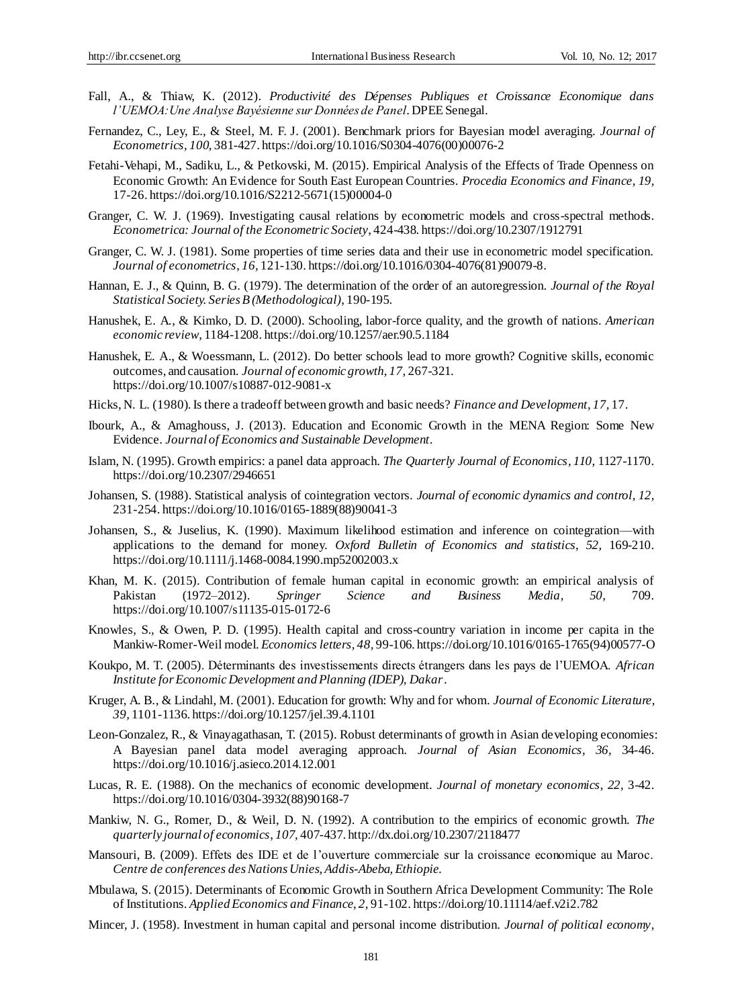- Fall, A., & Thiaw, K. (2012). *Productivité des Dépenses Publiques et Croissance Economique dans l'UEMOA:Une Analyse Bayésienne sur Données de Panel*. DPEE Senegal.
- Fernandez, C., Ley, E., & Steel, M. F. J. (2001). Benchmark priors for Bayesian model averaging. *Journal of Econometrics*, *100,* 381-427. https://doi.org/10.1016/S0304-4076(00)00076-2
- Fetahi-Vehapi, M., Sadiku, L., & Petkovski, M. (2015). Empirical Analysis of the Effects of Trade Openness on Economic Growth: An Evidence for South East European Countries. *Procedia Economics and Finance*, *19,* 17-26. https://doi.org/10.1016/S2212-5671(15)00004-0
- Granger, C. W. J. (1969). Investigating causal relations by econometric models and cross-spectral methods. *Econometrica: Journal of the Econometric Society*, 424-438. https://doi.org/10.2307/1912791
- Granger, C. W. J. (1981). Some properties of time series data and their use in econometric model specification. *Journal of econometrics*, *16,* 121-130. https://doi.org/10.1016/0304-4076(81)90079-8.
- Hannan, E. J., & Quinn, B. G. (1979). The determination of the order of an autoregression. *Journal of the Royal Statistical Society. Series B (Methodological)*, 190-195.
- Hanushek, E. A., & Kimko, D. D. (2000). Schooling, labor-force quality, and the growth of nations. *American economic review*, 1184-1208. https://doi.org/10.1257/aer.90.5.1184
- Hanushek, E. A., & Woessmann, L. (2012). Do better schools lead to more growth? Cognitive skills, economic outcomes, and causation. *Journal of economic growth*, *17,* 267-321. https://doi.org/10.1007/s10887-012-9081-x
- Hicks, N. L. (1980). Is there a tradeoff between growth and basic needs? *Finance and Development*, *17,* 17.
- Ibourk, A., & Amaghouss, J. (2013). Education and Economic Growth in the MENA Region: Some New Evidence. *Journal of Economics and Sustainable Development*.
- Islam, N. (1995). Growth empirics: a panel data approach. *The Quarterly Journal of Economics*, *110,* 1127-1170. https://doi.org/10.2307/2946651
- Johansen, S. (1988). Statistical analysis of cointegration vectors. *Journal of economic dynamics and control, 12,*  231-254. https://doi.org/10.1016/0165-1889(88)90041-3
- Johansen, S., & Juselius, K. (1990). Maximum likelihood estimation and inference on cointegration—with applications to the demand for money. *Oxford Bulletin of Economics and statistics*, *52,* 169-210. https://doi.org/10.1111/j.1468-0084.1990.mp52002003.x
- Khan, M. K. (2015). Contribution of female human capital in economic growth: an empirical analysis of Pakistan (1972–2012). *Springer Science and Business Media*, *50,* 709. https://doi.org/10.1007/s11135-015-0172-6
- Knowles, S., & Owen, P. D. (1995). Health capital and cross-country variation in income per capita in the Mankiw-Romer-Weil model. *Economics letters*, *48,* 99-106. https://doi.org/10.1016/0165-1765(94)00577-O
- Koukpo, M. T. (2005). Déterminants des investissements directs étrangers dans les pays de l'UEMOA. *African Institute for Economic Development and Planning (IDEP), Dakar*.
- Kruger, A. B., & Lindahl, M. (2001). Education for growth: Why and for whom. *Journal of Economic Literature*, *39,* 1101-1136. https://doi.org/10.1257/jel.39.4.1101
- Leon-Gonzalez, R., & Vinayagathasan, T. (2015). Robust determinants of growth in Asian developing economies: A Bayesian panel data model averaging approach. *Journal of Asian Economics*, *36,* 34-46. https://doi.org/10.1016/j.asieco.2014.12.001
- Lucas, R. E. (1988). On the mechanics of economic development. *Journal of monetary economics*, *22,* 3-42. https://doi.org/10.1016/0304-3932(88)90168-7
- Mankiw, N. G., Romer, D., & Weil, D. N. (1992). A contribution to the empirics of economic growth. *The quarterly journal of economics*, *107,* 407-437. http://dx.doi.org/10.2307/2118477
- Mansouri, B. (2009). Effets des IDE et de l'ouverture commerciale sur la croissance economique au Maroc. *Centre de conferences des Nations Unies, Addis-Abeba, Ethiopie*.
- Mbulawa, S. (2015). Determinants of Economic Growth in Southern Africa Development Community: The Role of Institutions. *Applied Economics and Finance*, *2,* 91-102. https://doi.org/10.11114/aef.v2i2.782
- Mincer, J. (1958). Investment in human capital and personal income distribution. *Journal of political economy*,